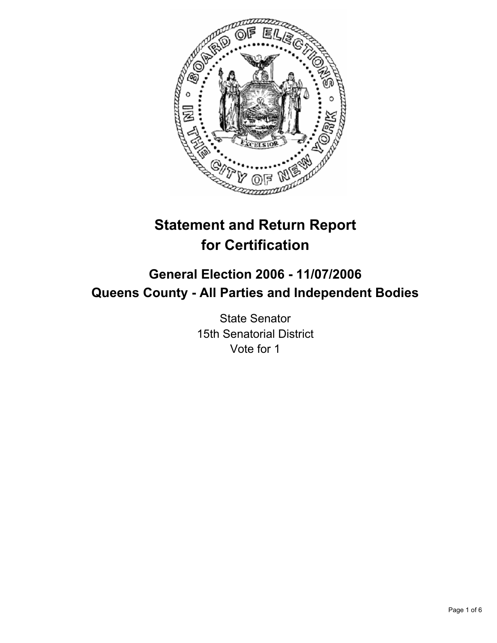

# **Statement and Return Report for Certification**

## **General Election 2006 - 11/07/2006 Queens County - All Parties and Independent Bodies**

State Senator 15th Senatorial District Vote for 1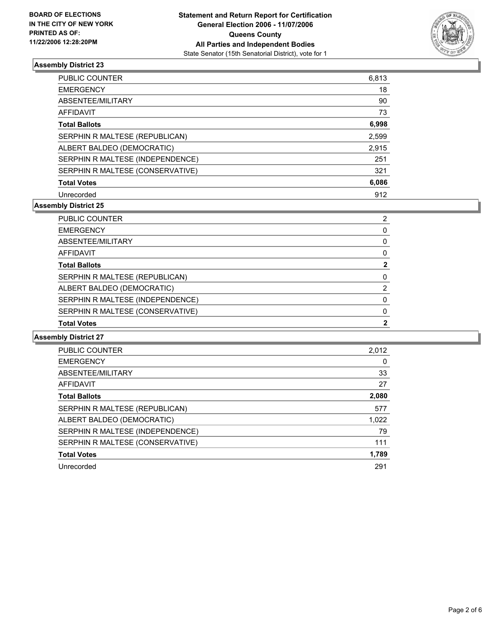

| <b>PUBLIC COUNTER</b>            | 6,813 |
|----------------------------------|-------|
| <b>EMERGENCY</b>                 | 18    |
| ABSENTEE/MILITARY                | 90    |
| <b>AFFIDAVIT</b>                 | 73    |
| <b>Total Ballots</b>             | 6,998 |
| SERPHIN R MALTESE (REPUBLICAN)   | 2,599 |
| ALBERT BALDEO (DEMOCRATIC)       | 2,915 |
| SERPHIN R MALTESE (INDEPENDENCE) | 251   |
| SERPHIN R MALTESE (CONSERVATIVE) | 321   |
| <b>Total Votes</b>               | 6,086 |
| Unrecorded                       | 912   |

#### **Assembly District 25**

| <b>PUBLIC COUNTER</b>            | ◠ |
|----------------------------------|---|
| <b>EMERGENCY</b>                 |   |
| ABSENTEE/MILITARY                |   |
| AFFIDAVIT                        |   |
| <b>Total Ballots</b>             |   |
| SERPHIN R MALTESE (REPUBLICAN)   |   |
| ALBERT BALDEO (DEMOCRATIC)       |   |
| SERPHIN R MALTESE (INDEPENDENCE) |   |
| SERPHIN R MALTESE (CONSERVATIVE) |   |
| <b>Total Votes</b>               |   |

| <b>PUBLIC COUNTER</b>            | 2.012 |
|----------------------------------|-------|
| <b>EMERGENCY</b>                 | 0     |
| ABSENTEE/MILITARY                | 33    |
| AFFIDAVIT                        | 27    |
| <b>Total Ballots</b>             | 2,080 |
| SERPHIN R MALTESE (REPUBLICAN)   | 577   |
| ALBERT BALDEO (DEMOCRATIC)       | 1,022 |
| SERPHIN R MALTESE (INDEPENDENCE) | 79    |
| SERPHIN R MALTESE (CONSERVATIVE) | 111   |
| <b>Total Votes</b>               | 1,789 |
| Unrecorded                       | 291   |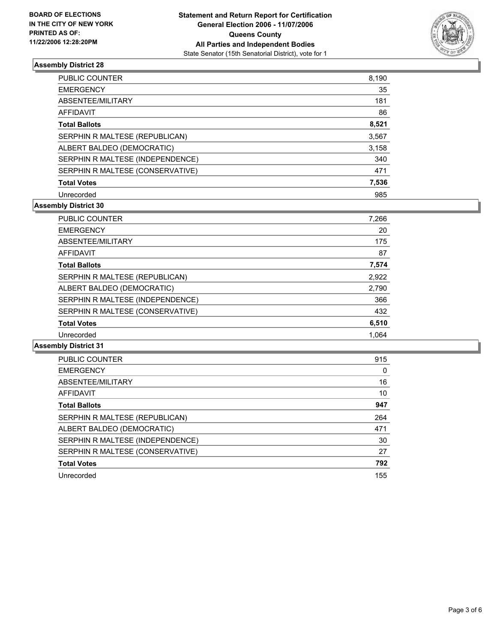

| PUBLIC COUNTER                   | 8,190 |
|----------------------------------|-------|
| <b>EMERGENCY</b>                 | 35    |
| ABSENTEE/MILITARY                | 181   |
| <b>AFFIDAVIT</b>                 | 86    |
| <b>Total Ballots</b>             | 8,521 |
| SERPHIN R MALTESE (REPUBLICAN)   | 3,567 |
| ALBERT BALDEO (DEMOCRATIC)       | 3,158 |
| SERPHIN R MALTESE (INDEPENDENCE) | 340   |
| SERPHIN R MALTESE (CONSERVATIVE) | 471   |
| <b>Total Votes</b>               | 7,536 |
| Unrecorded                       | 985   |

## **Assembly District 30**

| PUBLIC COUNTER                   | 7,266 |  |
|----------------------------------|-------|--|
| <b>EMERGENCY</b>                 | 20    |  |
| ABSENTEE/MILITARY                | 175   |  |
| AFFIDAVIT                        | 87    |  |
| <b>Total Ballots</b>             | 7,574 |  |
| SERPHIN R MALTESE (REPUBLICAN)   | 2,922 |  |
| ALBERT BALDEO (DEMOCRATIC)       | 2,790 |  |
| SERPHIN R MALTESE (INDEPENDENCE) | 366   |  |
| SERPHIN R MALTESE (CONSERVATIVE) | 432   |  |
| <b>Total Votes</b>               | 6,510 |  |
| Unrecorded                       | 1.064 |  |

| <b>PUBLIC COUNTER</b>            | 915 |
|----------------------------------|-----|
| <b>EMERGENCY</b>                 | 0   |
| ABSENTEE/MILITARY                | 16  |
| <b>AFFIDAVIT</b>                 | 10  |
| <b>Total Ballots</b>             | 947 |
| SERPHIN R MALTESE (REPUBLICAN)   | 264 |
| ALBERT BALDEO (DEMOCRATIC)       | 471 |
| SERPHIN R MALTESE (INDEPENDENCE) | 30  |
| SERPHIN R MALTESE (CONSERVATIVE) | 27  |
| <b>Total Votes</b>               | 792 |
| Unrecorded                       | 155 |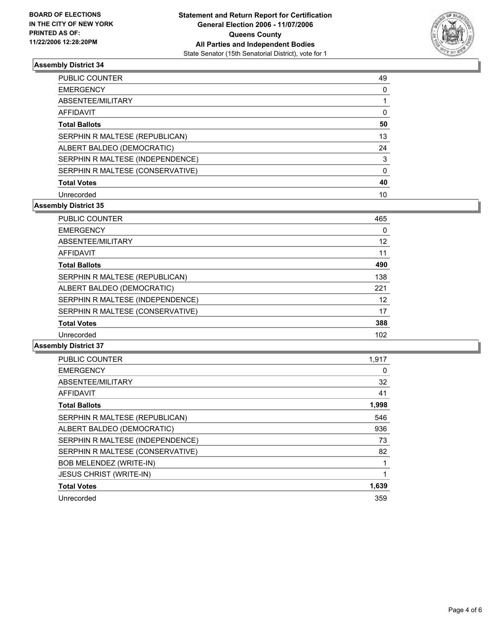

| <b>PUBLIC COUNTER</b>            | 49 |
|----------------------------------|----|
| <b>EMERGENCY</b>                 |    |
| ABSENTEE/MILITARY                |    |
| <b>AFFIDAVIT</b>                 |    |
| <b>Total Ballots</b>             | 50 |
| SERPHIN R MALTESE (REPUBLICAN)   | 13 |
| ALBERT BALDEO (DEMOCRATIC)       | 24 |
| SERPHIN R MALTESE (INDEPENDENCE) | 3  |
| SERPHIN R MALTESE (CONSERVATIVE) |    |
| <b>Total Votes</b>               | 40 |
| Unrecorded                       | 10 |

#### **Assembly District 35**

| PUBLIC COUNTER                   | 465 |
|----------------------------------|-----|
| <b>EMERGENCY</b>                 | 0   |
| ABSENTEE/MILITARY                | 12  |
| AFFIDAVIT                        | 11  |
| <b>Total Ballots</b>             | 490 |
| SERPHIN R MALTESE (REPUBLICAN)   | 138 |
| ALBERT BALDEO (DEMOCRATIC)       | 221 |
| SERPHIN R MALTESE (INDEPENDENCE) | 12  |
| SERPHIN R MALTESE (CONSERVATIVE) | 17  |
| <b>Total Votes</b>               | 388 |
| Unrecorded                       | 102 |

| PUBLIC COUNTER                   | 1,917 |
|----------------------------------|-------|
| <b>EMERGENCY</b>                 | 0     |
| ABSENTEE/MILITARY                | 32    |
| <b>AFFIDAVIT</b>                 | 41    |
| <b>Total Ballots</b>             | 1,998 |
| SERPHIN R MALTESE (REPUBLICAN)   | 546   |
| ALBERT BALDEO (DEMOCRATIC)       | 936   |
| SERPHIN R MALTESE (INDEPENDENCE) | 73    |
| SERPHIN R MALTESE (CONSERVATIVE) | 82    |
| <b>BOB MELENDEZ (WRITE-IN)</b>   |       |
| <b>JESUS CHRIST (WRITE-IN)</b>   |       |
| <b>Total Votes</b>               | 1,639 |
| Unrecorded                       | 359   |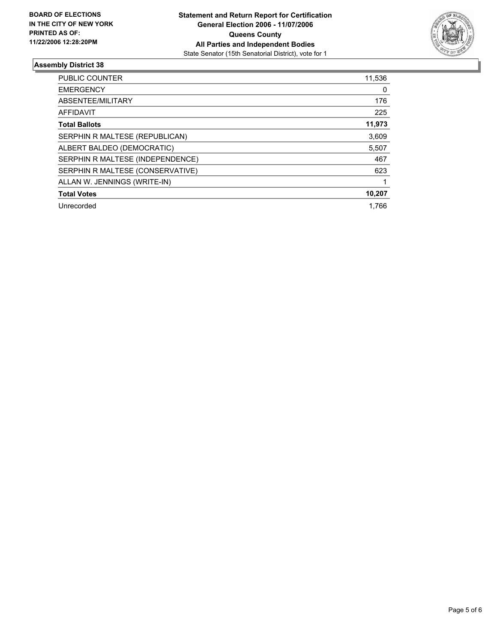

| <b>PUBLIC COUNTER</b>            | 11,536 |
|----------------------------------|--------|
| <b>EMERGENCY</b>                 | 0      |
| ABSENTEE/MILITARY                | 176    |
| AFFIDAVIT                        | 225    |
| <b>Total Ballots</b>             | 11,973 |
| SERPHIN R MALTESE (REPUBLICAN)   | 3,609  |
| ALBERT BALDEO (DEMOCRATIC)       | 5,507  |
| SERPHIN R MALTESE (INDEPENDENCE) | 467    |
| SERPHIN R MALTESE (CONSERVATIVE) | 623    |
| ALLAN W. JENNINGS (WRITE-IN)     |        |
| <b>Total Votes</b>               | 10,207 |
| Unrecorded                       | 1.766  |